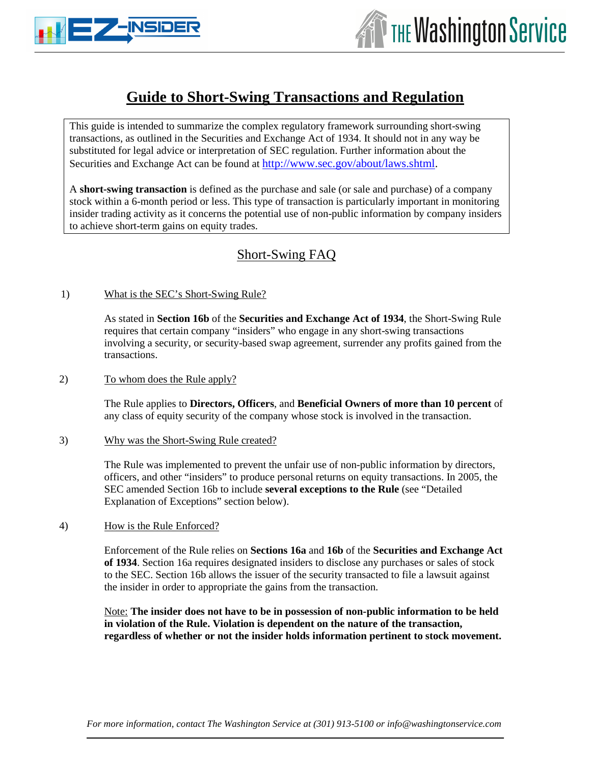



# **Guide to Short-Swing Transactions and Regulation**

This guide is intended to summarize the complex regulatory framework surrounding short-swing transactions, as outlined in the Securities and Exchange Act of 1934. It should not in any way be substituted for legal advice or interpretation of SEC regulation. Further information about the Securities and Exchange Act can be found at http://www.sec.gov/about/laws.shtml.

A **short-swing transaction** is defined as the purchase and sale (or sale and purchase) of a company stock within a 6-month period or less. This type of transaction is particularly important in monitoring insider trading activity as it concerns the potential use of non-public information by company insiders to achieve short-term gains on equity trades.

## Short-Swing FAQ

### 1) What is the SEC's Short-Swing Rule?

As stated in **Section 16b** of the **Securities and Exchange Act of 1934**, the Short-Swing Rule requires that certain company "insiders" who engage in any short-swing transactions involving a security, or security-based swap agreement, surrender any profits gained from the transactions.

### 2) To whom does the Rule apply?

The Rule applies to **Directors, Officers**, and **Beneficial Owners of more than 10 percent** of any class of equity security of the company whose stock is involved in the transaction.

#### 3) Why was the Short-Swing Rule created?

The Rule was implemented to prevent the unfair use of non-public information by directors, officers, and other "insiders" to produce personal returns on equity transactions. In 2005, the SEC amended Section 16b to include **several exceptions to the Rule** (see "Detailed Explanation of Exceptions" section below).

#### 4) How is the Rule Enforced?

Enforcement of the Rule relies on **Sections 16a** and **16b** of the **Securities and Exchange Act of 1934**. Section 16a requires designated insiders to disclose any purchases or sales of stock to the SEC. Section 16b allows the issuer of the security transacted to file a lawsuit against the insider in order to appropriate the gains from the transaction.

Note: **The insider does not have to be in possession of non-public information to be held in violation of the Rule. Violation is dependent on the nature of the transaction, regardless of whether or not the insider holds information pertinent to stock movement.**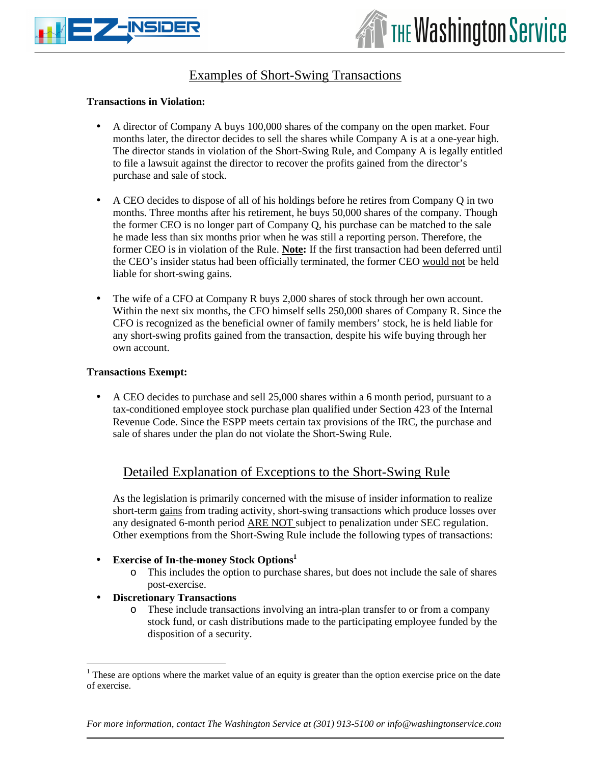



### Examples of Short-Swing Transactions

#### **Transactions in Violation:**

- A director of Company A buys 100,000 shares of the company on the open market. Four months later, the director decides to sell the shares while Company A is at a one-year high. The director stands in violation of the Short-Swing Rule, and Company A is legally entitled to file a lawsuit against the director to recover the profits gained from the director's purchase and sale of stock.
- A CEO decides to dispose of all of his holdings before he retires from Company Q in two months. Three months after his retirement, he buys 50,000 shares of the company. Though the former CEO is no longer part of Company Q, his purchase can be matched to the sale he made less than six months prior when he was still a reporting person. Therefore, the former CEO is in violation of the Rule. **Note:** If the first transaction had been deferred until the CEO's insider status had been officially terminated, the former CEO would not be held liable for short-swing gains.
- The wife of a CFO at Company R buys 2,000 shares of stock through her own account. Within the next six months, the CFO himself sells 250,000 shares of Company R. Since the CFO is recognized as the beneficial owner of family members' stock, he is held liable for any short-swing profits gained from the transaction, despite his wife buying through her own account.

#### **Transactions Exempt:**

• A CEO decides to purchase and sell 25,000 shares within a 6 month period, pursuant to a tax-conditioned employee stock purchase plan qualified under Section 423 of the Internal Revenue Code. Since the ESPP meets certain tax provisions of the IRC, the purchase and sale of shares under the plan do not violate the Short-Swing Rule.

### Detailed Explanation of Exceptions to the Short-Swing Rule

As the legislation is primarily concerned with the misuse of insider information to realize short-term gains from trading activity, short-swing transactions which produce losses over any designated 6-month period ARE NOT subject to penalization under SEC regulation. Other exemptions from the Short-Swing Rule include the following types of transactions:

- **Exercise of In-the-money Stock Options<sup>1</sup>**
	- o This includes the option to purchase shares, but does not include the sale of shares post-exercise.
- **Discretionary Transactions**

<u>.</u>

o These include transactions involving an intra-plan transfer to or from a company stock fund, or cash distributions made to the participating employee funded by the disposition of a security.

*For more information, contact The Washington Service at (301) 913-5100 or info@washingtonservice.com*

 $<sup>1</sup>$  These are options where the market value of an equity is greater than the option exercise price on the date</sup> of exercise.